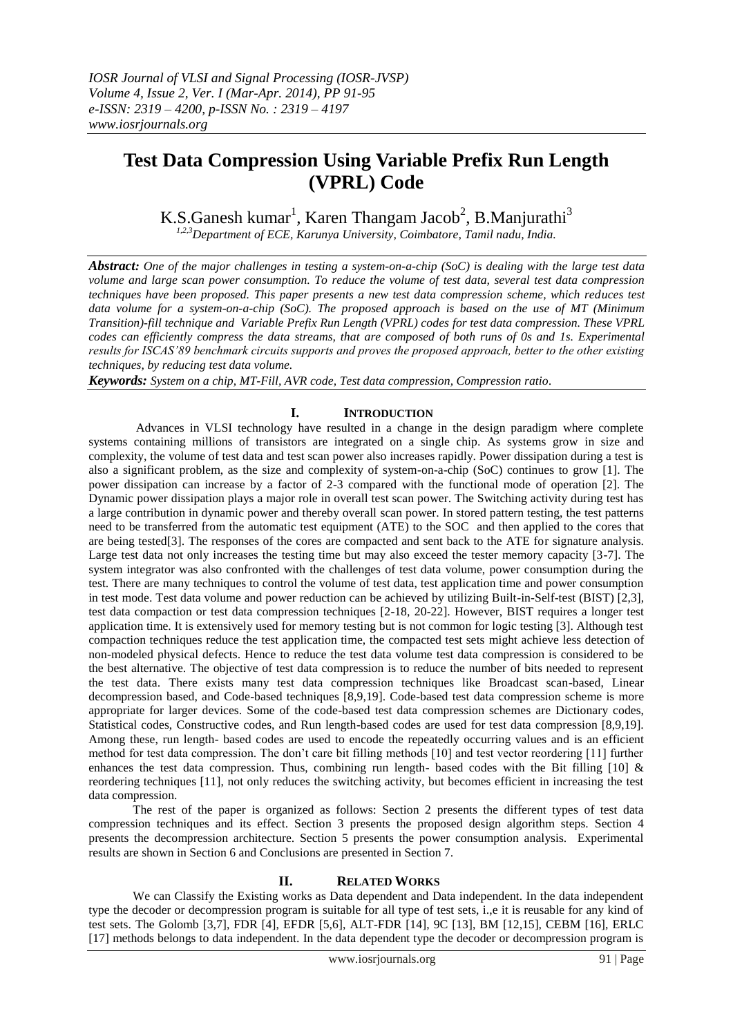## **Test Data Compression Using Variable Prefix Run Length (VPRL) Code**

K.S.Ganesh kumar<sup>1</sup>, Karen Thangam Jacob<sup>2</sup>, B.Manjurathi<sup>3</sup>

*1,2,3Department of ECE, Karunya University, Coimbatore, Tamil nadu, India.*

*Abstract: One of the major challenges in testing a system-on-a-chip (SoC) is dealing with the large test data volume and large scan power consumption. To reduce the volume of test data, several test data compression techniques have been proposed. This paper presents a new test data compression scheme, which reduces test data volume for a system-on-a-chip (SoC). The proposed approach is based on the use of MT (Minimum Transition)-fill technique and Variable Prefix Run Length (VPRL) codes for test data compression. These VPRL codes can efficiently compress the data streams, that are composed of both runs of 0s and 1s. Experimental results for ISCAS'89 benchmark circuits supports and proves the proposed approach, better to the other existing techniques, by reducing test data volume.*

*Keywords: System on a chip, MT-Fill, AVR code, Test data compression, Compression ratio.*

## **I. INTRODUCTION**

Advances in VLSI technology have resulted in a change in the design paradigm where complete systems containing millions of transistors are integrated on a single chip. As systems grow in size and complexity, the volume of test data and test scan power also increases rapidly. Power dissipation during a test is also a significant problem, as the size and complexity of system-on-a-chip (SoC) continues to grow [1]. The power dissipation can increase by a factor of 2-3 compared with the functional mode of operation [2]. The Dynamic power dissipation plays a major role in overall test scan power. The Switching activity during test has a large contribution in dynamic power and thereby overall scan power. In stored pattern testing, the test patterns need to be transferred from the automatic test equipment (ATE) to the SOC and then applied to the cores that are being tested[3]. The responses of the cores are compacted and sent back to the ATE for signature analysis. Large test data not only increases the testing time but may also exceed the tester memory capacity [3-7]. The system integrator was also confronted with the challenges of test data volume, power consumption during the test. There are many techniques to control the volume of test data, test application time and power consumption in test mode. Test data volume and power reduction can be achieved by utilizing Built-in-Self-test (BIST) [2,3], test data compaction or test data compression techniques [2-18, 20-22]. However, BIST requires a longer test application time. It is extensively used for memory testing but is not common for logic testing [3]. Although test compaction techniques reduce the test application time, the compacted test sets might achieve less detection of non-modeled physical defects. Hence to reduce the test data volume test data compression is considered to be the best alternative. The objective of test data compression is to reduce the number of bits needed to represent the test data. There exists many test data compression techniques like Broadcast scan-based, Linear decompression based, and Code-based techniques [8,9,19]. Code-based test data compression scheme is more appropriate for larger devices. Some of the code-based test data compression schemes are Dictionary codes, Statistical codes, Constructive codes, and Run length-based codes are used for test data compression [8,9,19]. Among these, run length- based codes are used to encode the repeatedly occurring values and is an efficient method for test data compression. The don"t care bit filling methods [10] and test vector reordering [11] further enhances the test data compression. Thus, combining run length- based codes with the Bit filling  $[10]$  & reordering techniques [11], not only reduces the switching activity, but becomes efficient in increasing the test data compression.

The rest of the paper is organized as follows: Section 2 presents the different types of test data compression techniques and its effect. Section 3 presents the proposed design algorithm steps. Section 4 presents the decompression architecture. Section 5 presents the power consumption analysis. Experimental results are shown in Section 6 and Conclusions are presented in Section 7.

#### **II. RELATED WORKS**

We can Classify the Existing works as Data dependent and Data independent. In the data independent type the decoder or decompression program is suitable for all type of test sets, i.,e it is reusable for any kind of test sets. The Golomb [3,7], FDR [4], EFDR [5,6], ALT-FDR [14], 9C [13], BM [12,15], CEBM [16], ERLC [17] methods belongs to data independent. In the data dependent type the decoder or decompression program is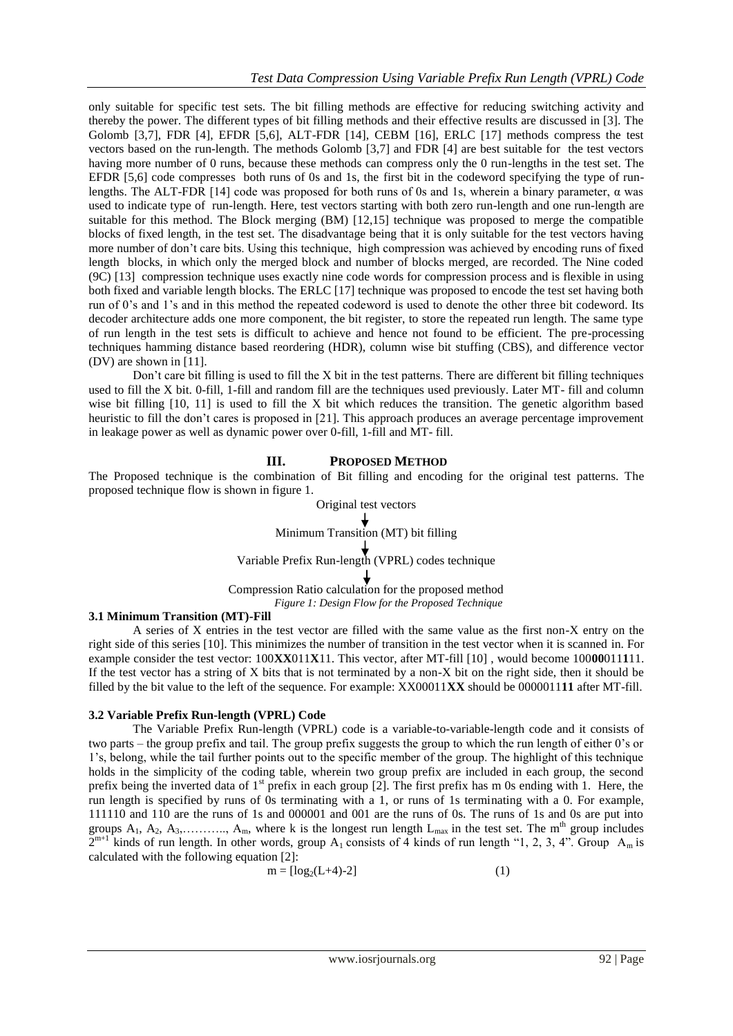only suitable for specific test sets. The bit filling methods are effective for reducing switching activity and thereby the power. The different types of bit filling methods and their effective results are discussed in [3]. The Golomb [3,7], FDR [4], EFDR [5,6], ALT-FDR [14], CEBM [16], ERLC [17] methods compress the test vectors based on the run-length. The methods Golomb [3,7] and FDR [4] are best suitable for the test vectors having more number of 0 runs, because these methods can compress only the 0 run-lengths in the test set. The EFDR [5,6] code compresses both runs of 0s and 1s, the first bit in the codeword specifying the type of runlengths. The ALT-FDR [14] code was proposed for both runs of 0s and 1s, wherein a binary parameter, α was used to indicate type of run-length. Here, test vectors starting with both zero run-length and one run-length are suitable for this method. The Block merging (BM) [12,15] technique was proposed to merge the compatible blocks of fixed length, in the test set. The disadvantage being that it is only suitable for the test vectors having more number of don"t care bits. Using this technique, high compression was achieved by encoding runs of fixed length blocks, in which only the merged block and number of blocks merged, are recorded. The Nine coded (9C) [13] compression technique uses exactly nine code words for compression process and is flexible in using both fixed and variable length blocks. The ERLC [17] technique was proposed to encode the test set having both run of 0"s and 1"s and in this method the repeated codeword is used to denote the other three bit codeword. Its decoder architecture adds one more component, the bit register, to store the repeated run length. The same type of run length in the test sets is difficult to achieve and hence not found to be efficient. The pre-processing techniques hamming distance based reordering (HDR), column wise bit stuffing (CBS), and difference vector (DV) are shown in [11].

Don"t care bit filling is used to fill the X bit in the test patterns. There are different bit filling techniques used to fill the X bit. 0-fill, 1-fill and random fill are the techniques used previously. Later MT- fill and column wise bit filling [10, 11] is used to fill the X bit which reduces the transition. The genetic algorithm based heuristic to fill the don't cares is proposed in [21]. This approach produces an average percentage improvement in leakage power as well as dynamic power over 0-fill, 1-fill and MT- fill.

## **III. PROPOSED METHOD**

The Proposed technique is the combination of Bit filling and encoding for the original test patterns. The proposed technique flow is shown in figure 1.

# Original test vectors  $\overrightarrow{\text{Minimum Transition (MT) bit filling}}$ Variable Prefix Run-length (VPRL) codes technique

Compression Ratio calculation for the proposed method *Figure 1: Design Flow for the Proposed Technique*

#### **3.1 Minimum Transition (MT)-Fill**

A series of X entries in the test vector are filled with the same value as the first non-X entry on the right side of this series [10]. This minimizes the number of transition in the test vector when it is scanned in. For example consider the test vector: 100**XX**011**X**11. This vector, after MT-fill [10] , would become 100**00**011**1**11. If the test vector has a string of X bits that is not terminated by a non-X bit on the right side, then it should be filled by the bit value to the left of the sequence. For example: XX00011**XX** should be 0000011**11** after MT-fill.

## **3.2 Variable Prefix Run-length (VPRL) Code**

The Variable Prefix Run-length (VPRL) code is a variable-to-variable-length code and it consists of two parts – the group prefix and tail. The group prefix suggests the group to which the run length of either 0"s or 1"s, belong, while the tail further points out to the specific member of the group. The highlight of this technique holds in the simplicity of the coding table, wherein two group prefix are included in each group, the second prefix being the inverted data of  $1<sup>st</sup>$  prefix in each group [2]. The first prefix has m 0s ending with 1. Here, the run length is specified by runs of 0s terminating with a 1, or runs of 1s terminating with a 0. For example, 111110 and 110 are the runs of 1s and 000001 and 001 are the runs of 0s. The runs of 1s and 0s are put into groups  $A_1$ ,  $A_2$ ,  $A_3$ , .........,  $A_m$ , where k is the longest run length  $L_{max}$  in the test set. The m<sup>th</sup> group includes  $2^{m+1}$  kinds of run length. In other words, group A<sub>1</sub> consists of 4 kinds of run length "1, 2, 3, 4". Group A<sub>m</sub> is calculated with the following equation [2]:

$$
m = \lfloor \log_2(L+4) - 2 \rfloor \tag{1}
$$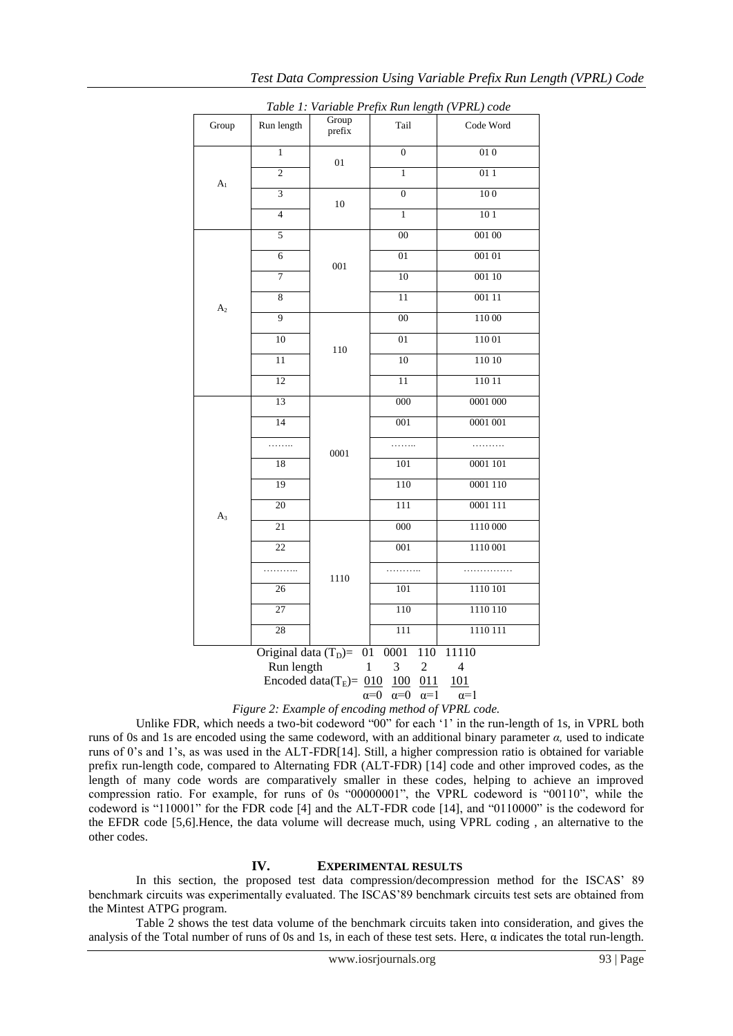| Table 1: Variable Prefix Run length (VPRL) code                                                                                                                                                                                                                                        |                 |                 |                  |           |  |  |
|----------------------------------------------------------------------------------------------------------------------------------------------------------------------------------------------------------------------------------------------------------------------------------------|-----------------|-----------------|------------------|-----------|--|--|
| Group                                                                                                                                                                                                                                                                                  | Run length      | Group<br>prefix | Tail             | Code Word |  |  |
| A <sub>1</sub>                                                                                                                                                                                                                                                                         | $\mathbf{1}$    | 01              | $\overline{0}$   | 010       |  |  |
|                                                                                                                                                                                                                                                                                        | $\overline{2}$  |                 | $\mathbf{1}$     | 011       |  |  |
|                                                                                                                                                                                                                                                                                        | 3               | 10              | $\mathbf{0}$     | 100       |  |  |
|                                                                                                                                                                                                                                                                                        | $\overline{4}$  |                 | $\mathbf{1}$     | 101       |  |  |
|                                                                                                                                                                                                                                                                                        | 5               |                 | 0 <sup>0</sup>   | 001 00    |  |  |
|                                                                                                                                                                                                                                                                                        | 6               | 001             | 01               | 001 01    |  |  |
|                                                                                                                                                                                                                                                                                        | $\overline{7}$  |                 | 10               | 001 10    |  |  |
| A <sub>2</sub>                                                                                                                                                                                                                                                                         | 8               |                 | 11               | 001 11    |  |  |
|                                                                                                                                                                                                                                                                                        | $\overline{9}$  |                 | 00               | 110 00    |  |  |
|                                                                                                                                                                                                                                                                                        | 10              | 110             | 01               | 11001     |  |  |
|                                                                                                                                                                                                                                                                                        | 11              |                 | 10               | 110 10    |  |  |
|                                                                                                                                                                                                                                                                                        | 12              |                 | 11               | 110 11    |  |  |
|                                                                                                                                                                                                                                                                                        | 13              |                 | 000              | 0001 000  |  |  |
|                                                                                                                                                                                                                                                                                        | 14              |                 | 001              | 0001 001  |  |  |
|                                                                                                                                                                                                                                                                                        | .               | 0001            | .                | .         |  |  |
|                                                                                                                                                                                                                                                                                        | 18              |                 | 101              | 0001 101  |  |  |
|                                                                                                                                                                                                                                                                                        | 19              |                 | 110              | 0001 110  |  |  |
| $A_3$                                                                                                                                                                                                                                                                                  | 20              |                 | 111              | 0001 111  |  |  |
|                                                                                                                                                                                                                                                                                        | $\overline{21}$ |                 | $\overline{000}$ | 1110 000  |  |  |
|                                                                                                                                                                                                                                                                                        | 22              |                 | 001              | 1110 001  |  |  |
|                                                                                                                                                                                                                                                                                        | .               | 1110            | .                |           |  |  |
|                                                                                                                                                                                                                                                                                        | 26              |                 | 101              | 1110 101  |  |  |
|                                                                                                                                                                                                                                                                                        | 27              |                 | 110              | 1110 110  |  |  |
|                                                                                                                                                                                                                                                                                        | 28              |                 | 111              | 1110 111  |  |  |
| Original data $(T_D)$ =<br>01<br>0001<br>110<br>11110<br>Run length<br>$\mathbf{1}$<br>3<br>$\overline{c}$<br>$\overline{4}$<br>Encoded data( $T_E$ )= 010<br>011<br><u>100</u><br>101<br>$\alpha = 0$<br>$\alpha=1$<br>$\alpha=1$<br>$\alpha=0$<br>$\sim$ $\sim$ $\sim$ $\sim$ $\sim$ |                 |                 |                  |           |  |  |

*Table 1: Variable Prefix Run length (VPRL) code*



Unlike FDR, which needs a two-bit codeword "00" for each "1" in the run-length of 1s, in VPRL both runs of 0s and 1s are encoded using the same codeword, with an additional binary parameter *α,* used to indicate runs of 0"s and 1"s, as was used in the ALT-FDR[14]. Still, a higher compression ratio is obtained for variable prefix run-length code, compared to Alternating FDR (ALT-FDR) [14] code and other improved codes, as the length of many code words are comparatively smaller in these codes, helping to achieve an improved compression ratio. For example, for runs of 0s "00000001", the VPRL codeword is "00110", while the codeword is "110001" for the FDR code [4] and the ALT-FDR code [14], and "0110000" is the codeword for the EFDR code [5,6].Hence, the data volume will decrease much, using VPRL coding , an alternative to the other codes.

#### **IV. EXPERIMENTAL RESULTS**

In this section, the proposed test data compression/decompression method for the ISCAS" 89 benchmark circuits was experimentally evaluated. The ISCAS"89 benchmark circuits test sets are obtained from the Mintest ATPG program.

Table 2 shows the test data volume of the benchmark circuits taken into consideration, and gives the analysis of the Total number of runs of 0s and 1s, in each of these test sets. Here,  $\alpha$  indicates the total run-length.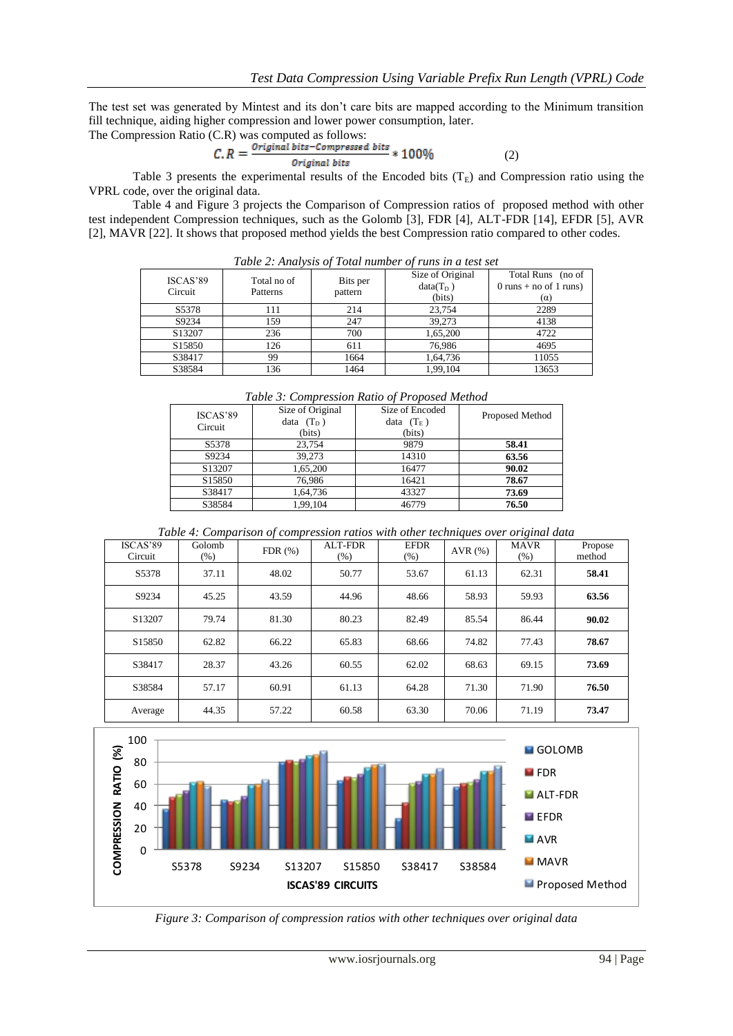The test set was generated by Mintest and its don"t care bits are mapped according to the Minimum transition fill technique, aiding higher compression and lower power consumption, later.

The Compression Ratio (C.R) was computed as follows:

$$
C.R = \frac{Original bits - Compressed bits}{Original bits} * 100\%
$$
 (2)

Table 3 presents the experimental results of the Encoded bits  $(T<sub>E</sub>)$  and Compression ratio using the VPRL code, over the original data.

Table 4 and Figure 3 projects the Comparison of Compression ratios of proposed method with other test independent Compression techniques, such as the Golomb [3], FDR [4], ALT-FDR [14], EFDR [5], AVR [2], MAVR [22]. It shows that proposed method yields the best Compression ratio compared to other codes.

| Tubic 2. Than you of Tona hamber of tuns in a lest set |                         |                     |                                           |                                                           |  |
|--------------------------------------------------------|-------------------------|---------------------|-------------------------------------------|-----------------------------------------------------------|--|
| ISCAS'89<br>Circuit                                    | Total no of<br>Patterns | Bits per<br>pattern | Size of Original<br>$data(T_D)$<br>(bits) | Total Runs (no of<br>0 runs + no of 1 runs)<br>$(\alpha)$ |  |
| S <sub>5</sub> 378                                     | 111                     | 214                 | 23,754                                    | 2289                                                      |  |
| S9234                                                  | 159                     | 247                 | 39.273                                    | 4138                                                      |  |
| S13207                                                 | 236                     | 700                 | 1,65,200                                  | 4722                                                      |  |
| S <sub>15850</sub>                                     | 126                     | 611                 | 76.986                                    | 4695                                                      |  |
| S38417                                                 | 99                      | 1664                | 1,64,736                                  | 11055                                                     |  |
| S38584                                                 | 136                     | 1464                | 1,99,104                                  | 13653                                                     |  |

*Table 2: Analysis of Total number of runs in a test set*

| Table 5: Compression Katio of Proposed Method |                  |                 |                 |  |  |
|-----------------------------------------------|------------------|-----------------|-----------------|--|--|
| ISCAS'89<br>Circuit                           | Size of Original | Size of Encoded | Proposed Method |  |  |
|                                               | data $(T_D)$     | data $(T_E)$    |                 |  |  |
|                                               | (bits)           | (bits)          |                 |  |  |
| S <sub>5</sub> 378                            | 23,754           | 9879            | 58.41           |  |  |
| S9234                                         | 39.273           | 14310           | 63.56           |  |  |
| S13207                                        | 1,65,200         | 16477           | 90.02           |  |  |
| S <sub>15850</sub>                            | 76,986           | 16421           | 78.67           |  |  |
| S38417                                        | 1,64,736         | 43327           | 73.69           |  |  |
| S38584                                        | 1,99,104         | 46779           | 76.50           |  |  |

*Table 3: Compression Ratio of Proposed Method*

*Table 4: Comparison of compression ratios with other techniques over original data*

| ISCAS'89<br>Circuit | Golomb<br>$(\% )$ | FDR(%) | ALT-FDR<br>(% ) | <b>EFDR</b><br>$(\% )$ | AVR $(%)$ | <b>MAVR</b><br>$(\% )$ | Propose<br>method |
|---------------------|-------------------|--------|-----------------|------------------------|-----------|------------------------|-------------------|
| S5378               | 37.11             | 48.02  | 50.77           | 53.67                  | 61.13     | 62.31                  | 58.41             |
| S9234               | 45.25             | 43.59  | 44.96           | 48.66                  | 58.93     | 59.93                  | 63.56             |
| S13207              | 79.74             | 81.30  | 80.23           | 82.49                  | 85.54     | 86.44                  | 90.02             |
| S <sub>15850</sub>  | 62.82             | 66.22  | 65.83           | 68.66                  | 74.82     | 77.43                  | 78.67             |
| S38417              | 28.37             | 43.26  | 60.55           | 62.02                  | 68.63     | 69.15                  | 73.69             |
| S38584              | 57.17             | 60.91  | 61.13           | 64.28                  | 71.30     | 71.90                  | 76.50             |
| Average             | 44.35             | 57.22  | 60.58           | 63.30                  | 70.06     | 71.19                  | 73.47             |



*Figure 3: Comparison of compression ratios with other techniques over original data*